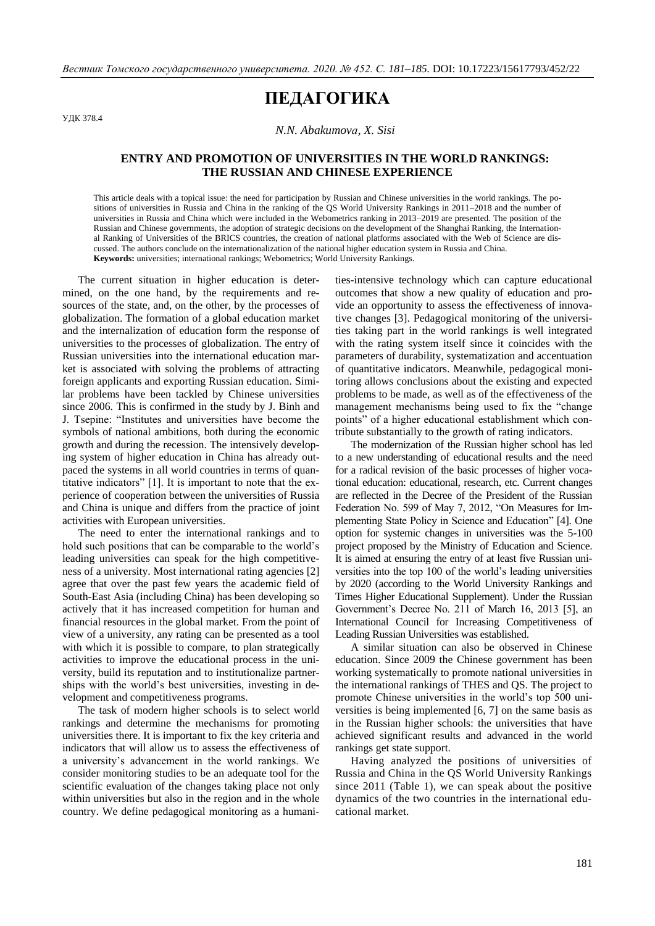## **ПЕДАГОГИКА**

УДК 378.4

*N.N. Abakumovа, X. Sisi*

## **ENTRY AND PROMOTION OF UNIVERSITIES IN THE WORLD RANKINGS: THE RUSSIAN AND CHINESE EXPERIENCE**

This article deals with a topical issue: the need for participation by Russian and Chinese universities in the world rankings. The positions of universities in Russia and China in the ranking of the QS World University Rankings in 2011–2018 and the number of universities in Russia and China which were included in the Webometrics ranking in 2013–2019 are presented. The position of the Russian and Chinese governments, the adoption of strategic decisions on the development of the Shanghai Ranking, the International Ranking of Universities of the BRICS countries, the creation of national platforms associated with the Web of Science are discussed. The authors conclude on the internationalization of the national higher education system in Russia and China. **Keywords:** universities; international rankings; Webometrics; World University Rankings.

The current situation in higher education is determined, on the one hand, by the requirements and resources of the state, and, on the other, by the processes of globalization. The formation of a global education market and the internalization of education form the response of universities to the processes of globalization. The entry of Russian universities into the international education market is associated with solving the problems of attracting foreign applicants and exporting Russian education. Similar problems have been tackled by Chinese universities since 2006. This is confirmed in the study by J. Binh and J. Tsepine: "Institutes and universities have become the symbols of national ambitions, both during the economic growth and during the recession. The intensively developing system of higher education in China has already outpaced the systems in all world countries in terms of quantitative indicators" [1]. It is important to note that the experience of cooperation between the universities of Russia and China is unique and differs from the practice of joint activities with European universities.

The need to enter the international rankings and to hold such positions that can be comparable to the world's leading universities can speak for the high competitiveness of a university. Most international rating agencies [2] agree that over the past few years the academic field of South-East Asia (including China) has been developing so actively that it has increased competition for human and financial resources in the global market. From the point of view of a university, any rating can be presented as a tool with which it is possible to compare, to plan strategically activities to improve the educational process in the university, build its reputation and to institutionalize partnerships with the world's best universities, investing in development and competitiveness programs.

The task of modern higher schools is to select world rankings and determine the mechanisms for promoting universities there. It is important to fix the key criteria and indicators that will allow us to assess the effectiveness of a university's advancement in the world rankings. We consider monitoring studies to be an adequate tool for the scientific evaluation of the changes taking place not only within universities but also in the region and in the whole country. We define pedagogical monitoring as a humani-

ties-intensive technology which can capture educational outcomes that show a new quality of education and provide an opportunity to assess the effectiveness of innovative changes [3]. Pedagogical monitoring of the universities taking part in the world rankings is well integrated with the rating system itself since it coincides with the parameters of durability, systematization and accentuation of quantitative indicators. Meanwhile, pedagogical monitoring allows conclusions about the existing and expected problems to be made, as well as of the effectiveness of the management mechanisms being used to fix the "change points" of a higher educational establishment which contribute substantially to the growth of rating indicators.

The modernization of the Russian higher school has led to a new understanding of educational results and the need for a radical revision of the basic processes of higher vocational education: educational, research, etc. Current changes are reflected in the Decree of the President of the Russian Federation No. 599 of May 7, 2012, "On Measures for Implementing State Policy in Science and Education" [4]. One option for systemic changes in universities was the 5-100 project proposed by the Ministry of Education and Science. It is aimed at ensuring the entry of at least five Russian universities into the top 100 of the world's leading universities by 2020 (according to the World University Rankings and Times Higher Educational Supplement). Under the Russian Government's Decree No. 211 of March 16, 2013 [5], an International Council for Increasing Competitiveness of Leading Russian Universities was established.

A similar situation can also be observed in Chinese education. Since 2009 the Chinese government has been working systematically to promote national universities in the international rankings of THES and QS. The project to promote Chinese universities in the world's top 500 universities is being implemented [6, 7] on the same basis as in the Russian higher schools: the universities that have achieved significant results and advanced in the world rankings get state support.

Having analyzed the positions of universities of Russia and China in the QS World University Rankings since 2011 (Table 1), we can speak about the positive dynamics of the two countries in the international educational market.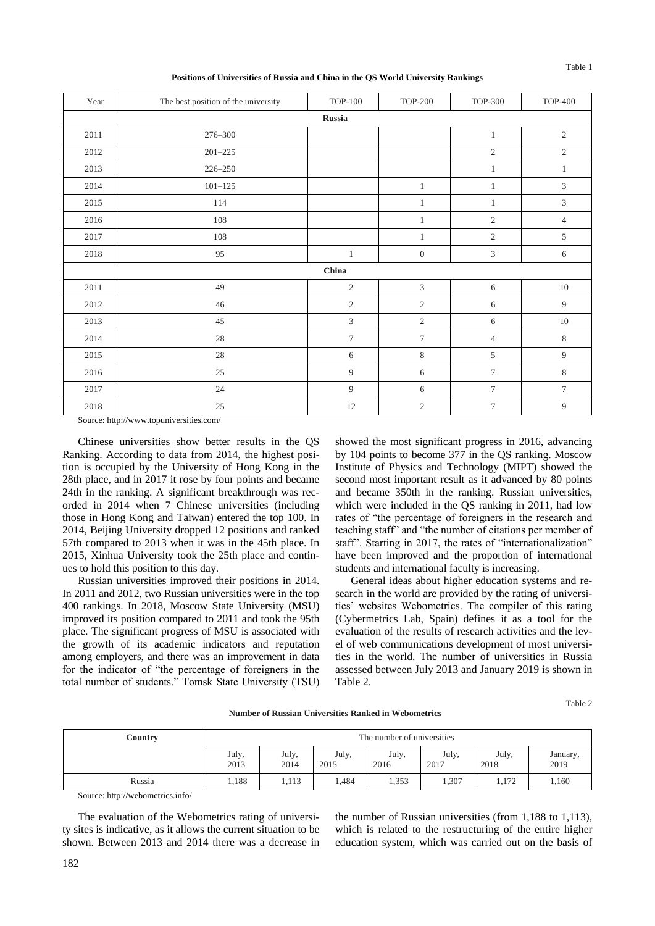**Positions of Universities of Russia and China in the QS World University Rankings**

| Year   | The best position of the university | <b>TOP-100</b> | <b>TOP-200</b>   | <b>TOP-300</b> | <b>TOP-400</b>              |  |
|--------|-------------------------------------|----------------|------------------|----------------|-----------------------------|--|
| Russia |                                     |                |                  |                |                             |  |
| 2011   | 276-300                             |                |                  | $\mathbf{1}$   | $\overline{2}$              |  |
| 2012   | $201 - 225$                         |                |                  | $\mathfrak{2}$ | $\mathbf{2}$                |  |
| 2013   | 226-250                             |                |                  | $\mathbf{1}$   | $\mathbf{1}$                |  |
| 2014   | $101 - 125$                         |                | $\mathbf{1}$     | $\mathbf{1}$   | $\ensuremath{\mathfrak{Z}}$ |  |
| 2015   | 114                                 |                | $\mathbf{1}$     | $\mathbf{1}$   | $\mathfrak{Z}$              |  |
| 2016   | 108                                 |                | $\mathbf{1}$     | $\sqrt{2}$     | $\overline{4}$              |  |
| 2017   | $108\,$                             |                | $\mathbf{1}$     | $\overline{2}$ | $\,$ 5 $\,$                 |  |
| 2018   | 95                                  | $\mathbf{1}$   | $\boldsymbol{0}$ | $\mathfrak{Z}$ | 6                           |  |
|        |                                     | China          |                  |                |                             |  |
| 2011   | 49                                  | $\overline{c}$ | 3                | 6              | $10\,$                      |  |
| 2012   | 46                                  | $\overline{c}$ | $\sqrt{2}$       | 6              | 9                           |  |
| 2013   | 45                                  | 3              | $\sqrt{2}$       | 6              | $10\,$                      |  |
| 2014   | 28                                  | $\overline{7}$ | $\overline{7}$   | $\overline{4}$ | $\,8\,$                     |  |
| 2015   | 28                                  | 6              | $\,8\,$          | 5              | 9                           |  |
| 2016   | 25                                  | 9              | 6                | $\tau$         | 8                           |  |
| 2017   | 24                                  | 9              | 6                | $\tau$         | $\tau$                      |  |
| 2018   | 25                                  | 12             | $\overline{2}$   | $\overline{7}$ | 9                           |  |

Source: http://www.topuniversities.com/

Chinese universities show better results in the QS Ranking. According to data from 2014, the highest position is occupied by the University of Hong Kong in the 28th place, and in 2017 it rose by four points and became 24th in the ranking. A significant breakthrough was recorded in 2014 when 7 Chinese universities (including those in Hong Kong and Taiwan) entered the top 100. In 2014, Beijing University dropped 12 positions and ranked 57th compared to 2013 when it was in the 45th place. In 2015, Xinhua University took the 25th place and continues to hold this position to this day.

Russian universities improved their positions in 2014. In 2011 and 2012, two Russian universities were in the top 400 rankings. In 2018, Moscow State University (MSU) improved its position compared to 2011 and took the 95th place. The significant progress of MSU is associated with the growth of its academic indicators and reputation among employers, and there was an improvement in data for the indicator of "the percentage of foreigners in the total number of students." Tomsk State University (TSU) showed the most significant progress in 2016, advancing by 104 points to become 377 in the QS ranking. Moscow Institute of Physics and Technology (MIPT) showed the second most important result as it advanced by 80 points and became 350th in the ranking. Russian universities, which were included in the QS ranking in 2011, had low rates of "the percentage of foreigners in the research and teaching staff" and "the number of citations per member of staff". Starting in 2017, the rates of "internationalization" have been improved and the proportion of international students and international faculty is increasing.

General ideas about higher education systems and research in the world are provided by the rating of universities' websites Webometrics. The compiler of this rating (Cybermetrics Lab, Spain) defines it as a tool for the evaluation of the results of research activities and the level of web communications development of most universities in the world. The number of universities in Russia assessed between July 2013 and January 2019 is shown in Table 2.

**Number of Russian Universities Ranked in Webometrics**

**Country** The number of universities July, 2013 July, 2014 July, 2015 July, 2016 July, 2017 July, 2018 January, 2019 Russia | 1,188 | 1,113 | 1,484 | 1,353 | 1,307 | 1,172 | 1,160

Source: http://webometrics.info/

The evaluation of the Webometrics rating of university sites is indicative, as it allows the current situation to be shown. Between 2013 and 2014 there was a decrease in

the number of Russian universities (from 1,188 to 1,113), which is related to the restructuring of the entire higher education system, which was carried out on the basis of

Table 2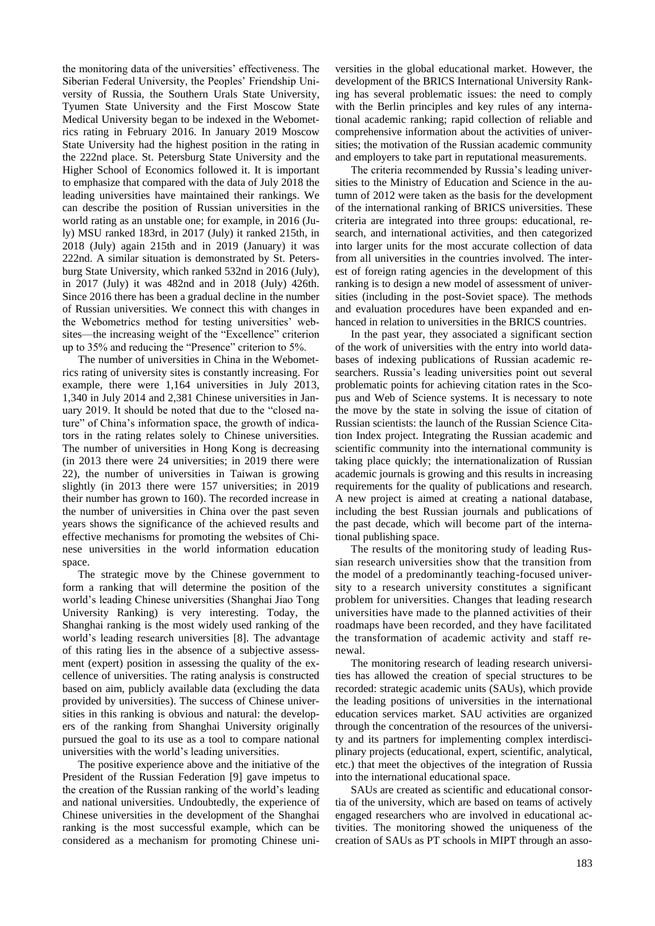the monitoring data of the universities' effectiveness. The Siberian Federal University, the Peoples' Friendship University of Russia, the Southern Urals State University, Tyumen State University and the First Moscow State Medical University began to be indexed in the Webometrics rating in February 2016. In January 2019 Moscow State University had the highest position in the rating in the 222nd place. St. Petersburg State University and the Higher School of Economics followed it. It is important to emphasize that compared with the data of July 2018 the leading universities have maintained their rankings. We can describe the position of Russian universities in the world rating as an unstable one; for example, in 2016 (July) MSU ranked 183rd, in 2017 (July) it ranked 215th, in 2018 (July) again 215th and in 2019 (January) it was 222nd. A similar situation is demonstrated by St. Petersburg State University, which ranked 532nd in 2016 (July), in 2017 (July) it was 482nd and in 2018 (July) 426th. Since 2016 there has been a gradual decline in the number of Russian universities. We connect this with changes in the Webometrics method for testing universities' websites—the increasing weight of the "Excellence" criterion up to 35% and reducing the "Presence" criterion to 5%.

The number of universities in China in the Webometrics rating of university sites is constantly increasing. For example, there were 1,164 universities in July 2013, 1,340 in July 2014 and 2,381 Chinese universities in January 2019. It should be noted that due to the "closed nature" of China's information space, the growth of indicators in the rating relates solely to Chinese universities. The number of universities in Hong Kong is decreasing (in 2013 there were 24 universities; in 2019 there were 22), the number of universities in Taiwan is growing slightly (in 2013 there were 157 universities; in 2019 their number has grown to 160). The recorded increase in the number of universities in China over the past seven years shows the significance of the achieved results and effective mechanisms for promoting the websites of Chinese universities in the world information education space.

The strategic move by the Chinese government to form a ranking that will determine the position of the world's leading Chinese universities (Shanghai Jiao Tong University Ranking) is very interesting. Today, the Shanghai ranking is the most widely used ranking of the world's leading research universities [8]. The advantage of this rating lies in the absence of a subjective assessment (expert) position in assessing the quality of the excellence of universities. The rating analysis is constructed based on aim, publicly available data (excluding the data provided by universities). The success of Chinese universities in this ranking is obvious and natural: the developers of the ranking from Shanghai University originally pursued the goal to its use as a tool to compare national universities with the world's leading universities.

The positive experience above and the initiative of the President of the Russian Federation [9] gave impetus to the creation of the Russian ranking of the world's leading and national universities. Undoubtedly, the experience of Chinese universities in the development of the Shanghai ranking is the most successful example, which can be considered as a mechanism for promoting Chinese uni-

versities in the global educational market. However, the development of the BRICS International University Ranking has several problematic issues: the need to comply with the Berlin principles and key rules of any international academic ranking; rapid collection of reliable and comprehensive information about the activities of universities; the motivation of the Russian academic community and employers to take part in reputational measurements.

The criteria recommended by Russia's leading universities to the Ministry of Education and Science in the autumn of 2012 were taken as the basis for the development of the international ranking of BRICS universities. These criteria are integrated into three groups: educational, research, and international activities, and then categorized into larger units for the most accurate collection of data from all universities in the countries involved. The interest of foreign rating agencies in the development of this ranking is to design a new model of assessment of universities (including in the post-Soviet space). The methods and evaluation procedures have been expanded and enhanced in relation to universities in the BRICS countries.

In the past year, they associated a significant section of the work of universities with the entry into world databases of indexing publications of Russian academic researchers. Russia's leading universities point out several problematic points for achieving citation rates in the Scopus and Web of Science systems. It is necessary to note the move by the state in solving the issue of citation of Russian scientists: the launch of the Russian Science Citation Index project. Integrating the Russian academic and scientific community into the international community is taking place quickly; the internationalization of Russian academic journals is growing and this results in increasing requirements for the quality of publications and research. A new project is aimed at creating a national database, including the best Russian journals and publications of the past decade, which will become part of the international publishing space.

The results of the monitoring study of leading Russian research universities show that the transition from the model of a predominantly teaching-focused university to a research university constitutes a significant problem for universities. Changes that leading research universities have made to the planned activities of their roadmaps have been recorded, and they have facilitated the transformation of academic activity and staff renewal.

The monitoring research of leading research universities has allowed the creation of special structures to be recorded: strategic academic units (SAUs), which provide the leading positions of universities in the international education services market. SAU activities are organized through the concentration of the resources of the university and its partners for implementing complex interdisciplinary projects (educational, expert, scientific, analytical, etc.) that meet the objectives of the integration of Russia into the international educational space.

SAUs are created as scientific and educational consortia of the university, which are based on teams of actively engaged researchers who are involved in educational activities. The monitoring showed the uniqueness of the creation of SAUs as PT schools in MIPT through an asso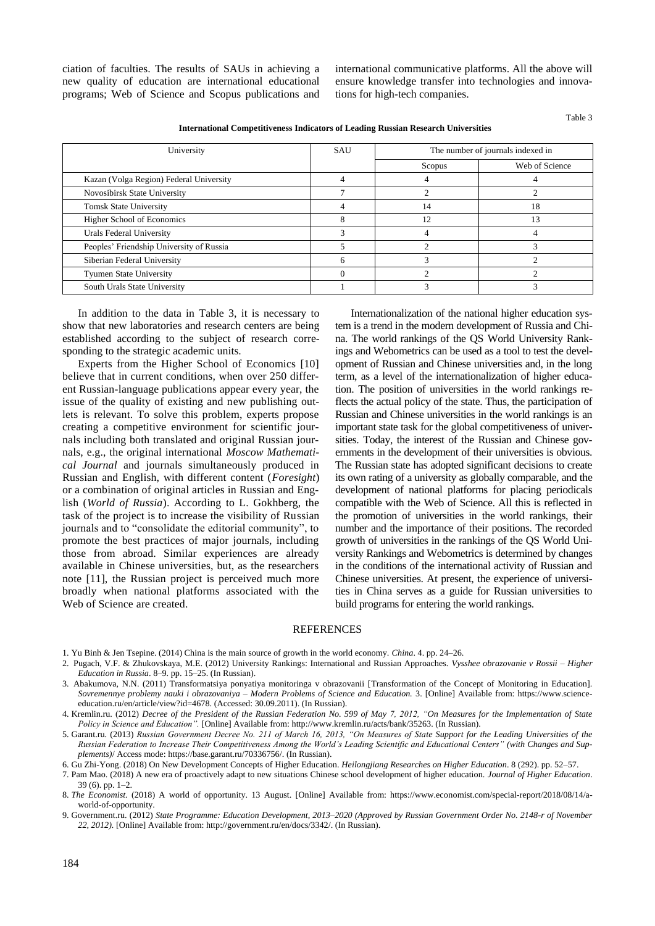ciation of faculties. The results of SAUs in achieving a new quality of education are international educational programs; Web of Science and Scopus publications and international communicative platforms. All the above will ensure knowledge transfer into technologies and innovations for high-tech companies.

Table 3

| International Competitiveness Indicators of Leading Russian Research Universities |     |                                   |                |  |  |  |
|-----------------------------------------------------------------------------------|-----|-----------------------------------|----------------|--|--|--|
| University                                                                        | SAU | The number of journals indexed in |                |  |  |  |
|                                                                                   |     | Scopus                            | Web of Science |  |  |  |
| Kazan (Volga Region) Federal University                                           |     |                                   |                |  |  |  |
| Novosibirsk State University                                                      |     |                                   |                |  |  |  |
| <b>Tomsk State University</b>                                                     |     | 14                                | 18             |  |  |  |
| <b>Higher School of Economics</b>                                                 |     |                                   |                |  |  |  |
| Urals Federal University                                                          |     |                                   |                |  |  |  |

Peoples' Friendship University of Russia 5 2 3 Siberian Federal University 6 3 2 Tyumen State University 0 2 2 South Urals State University 1 3 3

**International Competitiveness Indicators of Leading Russian Research Universities**

In addition to the data in Table 3, it is necessary to show that new laboratories and research centers are being established according to the subject of research corresponding to the strategic academic units.

Experts from the Higher School of Economics [10] believe that in current conditions, when over 250 different Russian-language publications appear every year, the issue of the quality of existing and new publishing outlets is relevant. To solve this problem, experts propose creating a competitive environment for scientific journals including both translated and original Russian journals, e.g., the original international *Moscow Mathematical Journal* and journals simultaneously produced in Russian and English, with different content (*Foresight*) or a combination of original articles in Russian and English (*World of Russia*). According to L. Gokhberg, the task of the project is to increase the visibility of Russian journals and to "consolidate the editorial community", to promote the best practices of major journals, including those from abroad. Similar experiences are already available in Chinese universities, but, as the researchers note [11], the Russian project is perceived much more broadly when national platforms associated with the Web of Science are created.

Internationalization of the national higher education system is a trend in the modern development of Russia and China. The world rankings of the QS World University Rankings and Webometrics can be used as a tool to test the development of Russian and Chinese universities and, in the long term, as a level of the internationalization of higher education. The position of universities in the world rankings reflects the actual policy of the state. Thus, the participation of Russian and Chinese universities in the world rankings is an important state task for the global competitiveness of universities. Today, the interest of the Russian and Chinese governments in the development of their universities is obvious. The Russian state has adopted significant decisions to create its own rating of a university as globally comparable, and the development of national platforms for placing periodicals compatible with the Web of Science. All this is reflected in the promotion of universities in the world rankings, their number and the importance of their positions. The recorded growth of universities in the rankings of the QS World University Rankings and Webometrics is determined by changes in the conditions of the international activity of Russian and Chinese universities. At present, the experience of universities in China serves as a guide for Russian universities to build programs for entering the world rankings.

## REFERENCES

- 1. Yu Binh & Jen Tsepine. (2014) China is the main source of growth in the world economy. *China*. 4. pp. 24–26.
- 2. Pugach, V.F. & Zhukovskaya, M.E. (2012) University Rankings: International and Russian Approaches. *Vysshee obrazovanie v Rossii – Higher Education in Russia*. 8–9. pp. 15–25. (In Russian).
- 3. Abakumova, N.N. (2011) Transformatsiya ponyatiya monitoringa v obrazovanii [Transformation of the Concept of Monitoring in Education]. *Sovremennye problemy nauki i obrazovaniya – Modern Problems of Science and Education.* 3. [Online] Available from: https://www.scienceeducation.ru/en/article/view?id=4678. (Accessed: 30.09.2011). (In Russian).
- 4. Kremlin.ru. (2012) *Decree of the President of the Russian Federation No. 599 of May 7, 2012, "On Measures for the Implementation of State Policy in Science and Education".* [Online] Available from: http://www.kremlin.ru/acts/bank/35263. (In Russian).
- 5. Garant.ru. (2013) *Russian Government Decree No. 211 of March 16, 2013, "On Measures of State Support for the Leading Universities of the Russian Federation to Increase Their Competitiveness Among the World's Leading Scientific and Educational Centers" (with Changes and Supplements)*/ Access mode: [https://base.garant.ru/70336756/.](https://base.garant.ru/70336756/) (In Russian).

6. Gu Zhi-Yong. (2018) On New Development Concepts of Higher Education. *Heilongjiang Researches on Higher Education*. 8 (292). pp. 52–57.

7. Pam Mao. (2018) A new era of proactively adapt to new situations Chinese school development of higher education. *Journal of Higher Education*. 39 (6). pp. 1–2.

8. *The Economist.* (2018) A world of opportunity. 13 August. [Online] Available from: https://www.economist.com/special-report/2018/08/14/aworld-of-opportunity.

9. Government.ru. (2012) *State Programme: Education Development, 2013–2020 (Approved by Russian Government Order No. 2148-r of November 22, 2012).* [Online] Available from: http://government.ru/en/docs/3342/. (In Russian).